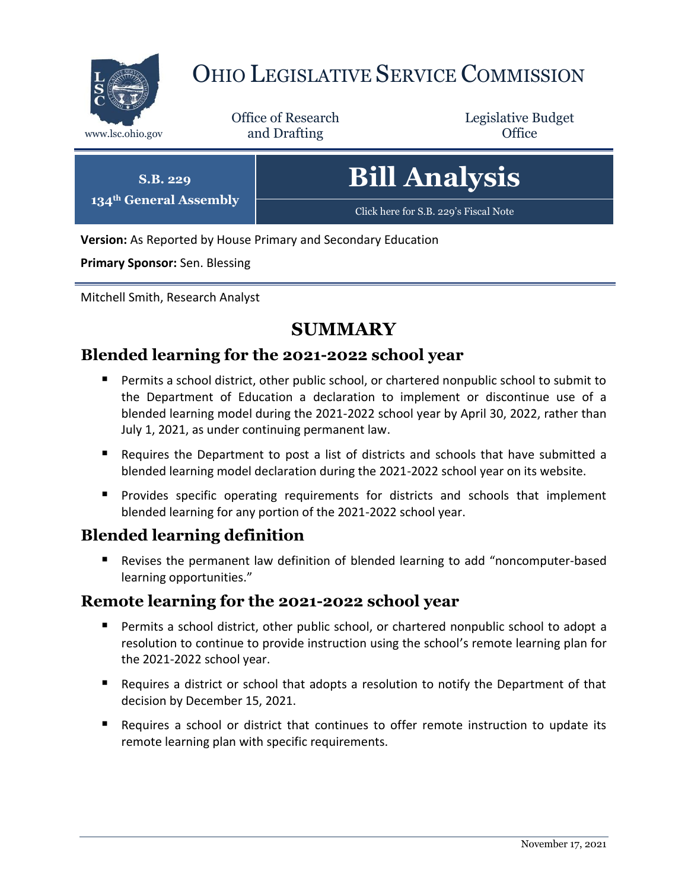

# OHIO LEGISLATIVE SERVICE COMMISSION

Office of Research www.lsc.ohio.gov **and Drafting Office** 

Legislative Budget

| S.B. 229                           | <b>Bill Analysis</b>                  |
|------------------------------------|---------------------------------------|
| 134 <sup>th</sup> General Assembly | Click here for S.B. 229's Fiscal Note |

**Version:** As Reported by House Primary and Secondary Education

**Primary Sponsor:** Sen. Blessing

Mitchell Smith, Research Analyst

## **SUMMARY**

## **Blended learning for the 2021-2022 school year**

- Permits a school district, other public school, or chartered nonpublic school to submit to the Department of Education a declaration to implement or discontinue use of a blended learning model during the 2021-2022 school year by April 30, 2022, rather than July 1, 2021, as under continuing permanent law.
- Requires the Department to post a list of districts and schools that have submitted a blended learning model declaration during the 2021-2022 school year on its website.
- **Provides specific operating requirements for districts and schools that implement** blended learning for any portion of the 2021-2022 school year.

## **Blended learning definition**

 Revises the permanent law definition of blended learning to add "noncomputer-based learning opportunities."

## **Remote learning for the 2021-2022 school year**

- **Permits a school district, other public school, or chartered nonpublic school to adopt a** resolution to continue to provide instruction using the school's remote learning plan for the 2021-2022 school year.
- **Requires a district or school that adopts a resolution to notify the Department of that** decision by December 15, 2021.
- Requires a school or district that continues to offer remote instruction to update its remote learning plan with specific requirements.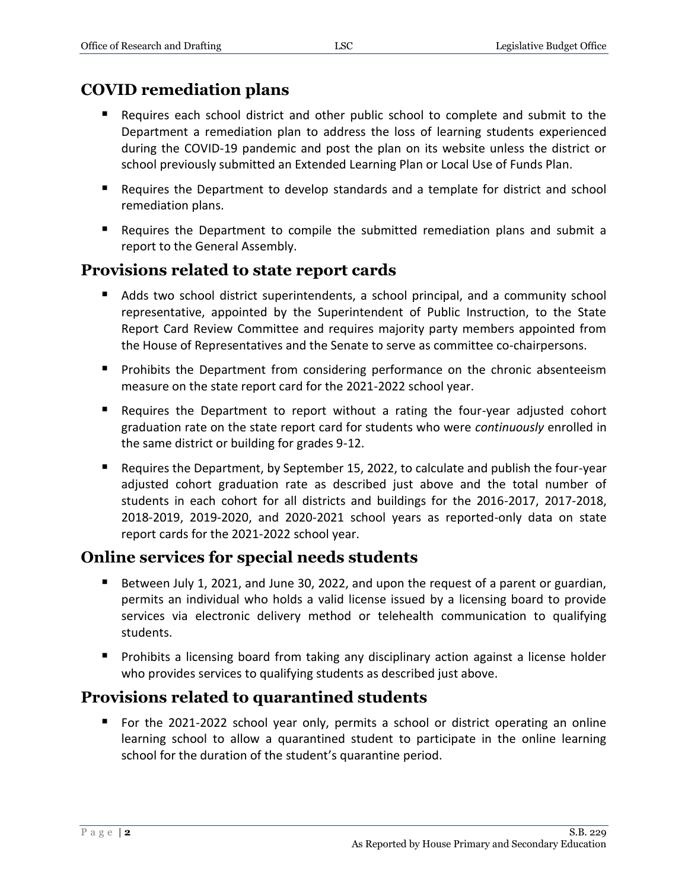## **COVID remediation plans**

- Requires each school district and other public school to complete and submit to the Department a remediation plan to address the loss of learning students experienced during the COVID-19 pandemic and post the plan on its website unless the district or school previously submitted an Extended Learning Plan or Local Use of Funds Plan.
- Requires the Department to develop standards and a template for district and school remediation plans.
- Requires the Department to compile the submitted remediation plans and submit a report to the General Assembly.

## **Provisions related to state report cards**

- Adds two school district superintendents, a school principal, and a community school representative, appointed by the Superintendent of Public Instruction, to the State Report Card Review Committee and requires majority party members appointed from the House of Representatives and the Senate to serve as committee co-chairpersons.
- **Prohibits the Department from considering performance on the chronic absenteeism** measure on the state report card for the 2021-2022 school year.
- Requires the Department to report without a rating the four-year adjusted cohort graduation rate on the state report card for students who were *continuously* enrolled in the same district or building for grades 9-12.
- Requires the Department, by September 15, 2022, to calculate and publish the four-year adjusted cohort graduation rate as described just above and the total number of students in each cohort for all districts and buildings for the 2016-2017, 2017-2018, 2018-2019, 2019-2020, and 2020-2021 school years as reported-only data on state report cards for the 2021-2022 school year.

## **Online services for special needs students**

- Between July 1, 2021, and June 30, 2022, and upon the request of a parent or guardian, permits an individual who holds a valid license issued by a licensing board to provide services via electronic delivery method or telehealth communication to qualifying students.
- **Prohibits a licensing board from taking any disciplinary action against a license holder** who provides services to qualifying students as described just above.

## **Provisions related to quarantined students**

 For the 2021-2022 school year only, permits a school or district operating an online learning school to allow a quarantined student to participate in the online learning school for the duration of the student's quarantine period.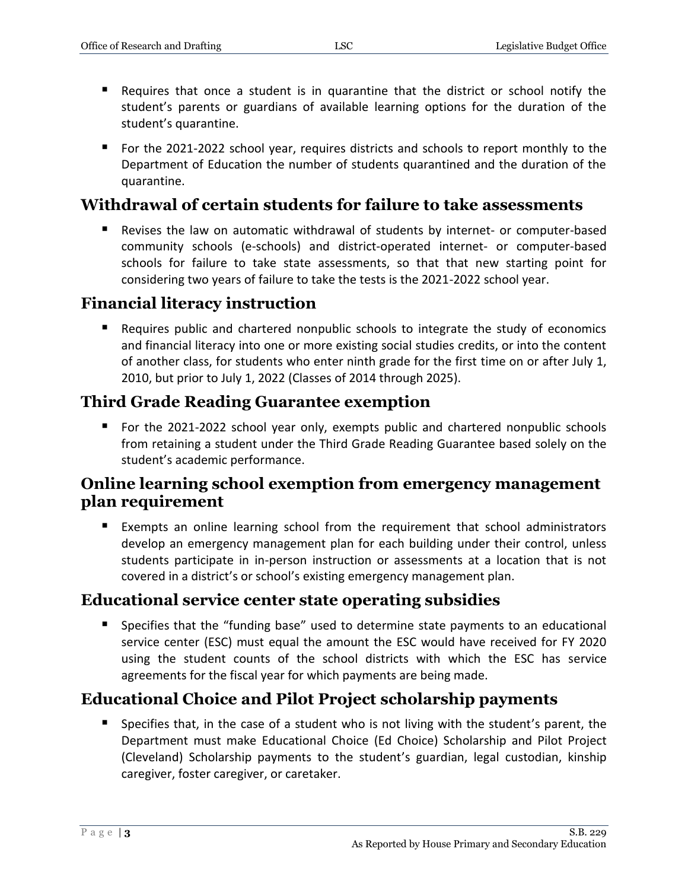- Requires that once a student is in quarantine that the district or school notify the student's parents or guardians of available learning options for the duration of the student's quarantine.
- For the 2021-2022 school year, requires districts and schools to report monthly to the Department of Education the number of students quarantined and the duration of the quarantine.

## **Withdrawal of certain students for failure to take assessments**

 Revises the law on automatic withdrawal of students by internet- or computer-based community schools (e-schools) and district-operated internet- or computer-based schools for failure to take state assessments, so that that new starting point for considering two years of failure to take the tests is the 2021-2022 school year.

## **Financial literacy instruction**

 Requires public and chartered nonpublic schools to integrate the study of economics and financial literacy into one or more existing social studies credits, or into the content of another class, for students who enter ninth grade for the first time on or after July 1, 2010, but prior to July 1, 2022 (Classes of 2014 through 2025).

## **Third Grade Reading Guarantee exemption**

**F** For the 2021-2022 school year only, exempts public and chartered nonpublic schools from retaining a student under the Third Grade Reading Guarantee based solely on the student's academic performance.

## **Online learning school exemption from emergency management plan requirement**

 Exempts an online learning school from the requirement that school administrators develop an emergency management plan for each building under their control, unless students participate in in-person instruction or assessments at a location that is not covered in a district's or school's existing emergency management plan.

## **Educational service center state operating subsidies**

 Specifies that the "funding base" used to determine state payments to an educational service center (ESC) must equal the amount the ESC would have received for FY 2020 using the student counts of the school districts with which the ESC has service agreements for the fiscal year for which payments are being made.

## **Educational Choice and Pilot Project scholarship payments**

 Specifies that, in the case of a student who is not living with the student's parent, the Department must make Educational Choice (Ed Choice) Scholarship and Pilot Project (Cleveland) Scholarship payments to the student's guardian, legal custodian, kinship caregiver, foster caregiver, or caretaker.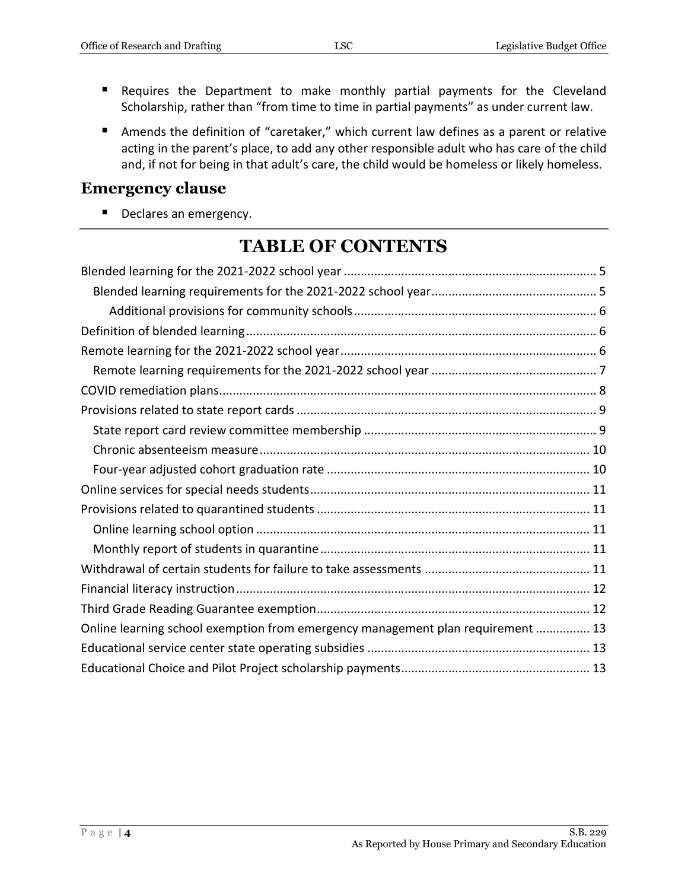- Requires the Department to make monthly partial payments for the Cleveland Scholarship, rather than "from time to time in partial payments" as under current law.
- Amends the definition of "caretaker," which current law defines as a parent or relative acting in the parent's place, to add any other responsible adult who has care of the child and, if not for being in that adult's care, the child would be homeless or likely homeless.

#### **Emergency clause**

Declares an emergency.

## **TABLE OF CONTENTS**

| Online learning school exemption from emergency management plan requirement  13 |  |
|---------------------------------------------------------------------------------|--|
|                                                                                 |  |
|                                                                                 |  |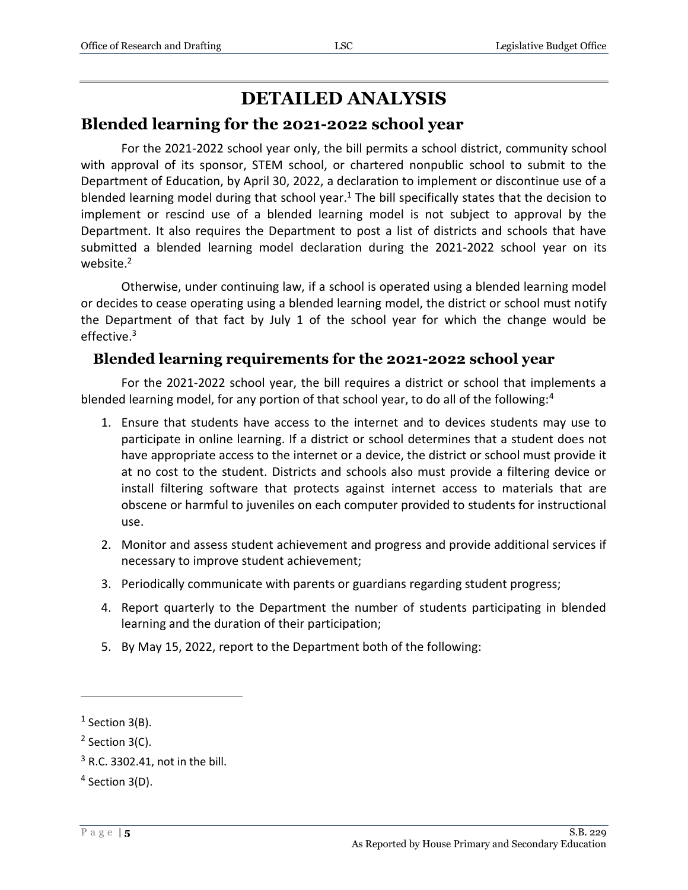## **DETAILED ANALYSIS**

#### <span id="page-4-0"></span>**Blended learning for the 2021-2022 school year**

For the 2021-2022 school year only, the bill permits a school district, community school with approval of its sponsor, STEM school, or chartered nonpublic school to submit to the Department of Education, by April 30, 2022, a declaration to implement or discontinue use of a blended learning model during that school year.<sup>1</sup> The bill specifically states that the decision to implement or rescind use of a blended learning model is not subject to approval by the Department. It also requires the Department to post a list of districts and schools that have submitted a blended learning model declaration during the 2021-2022 school year on its website.<sup>2</sup>

Otherwise, under continuing law, if a school is operated using a blended learning model or decides to cease operating using a blended learning model, the district or school must notify the Department of that fact by July 1 of the school year for which the change would be effective.<sup>3</sup>

#### <span id="page-4-1"></span>**Blended learning requirements for the 2021-2022 school year**

For the 2021-2022 school year, the bill requires a district or school that implements a blended learning model, for any portion of that school year, to do all of the following:<sup>4</sup>

- 1. Ensure that students have access to the internet and to devices students may use to participate in online learning. If a district or school determines that a student does not have appropriate access to the internet or a device, the district or school must provide it at no cost to the student. Districts and schools also must provide a filtering device or install filtering software that protects against internet access to materials that are obscene or harmful to juveniles on each computer provided to students for instructional use.
- 2. Monitor and assess student achievement and progress and provide additional services if necessary to improve student achievement;
- 3. Periodically communicate with parents or guardians regarding student progress;
- 4. Report quarterly to the Department the number of students participating in blended learning and the duration of their participation;
- 5. By May 15, 2022, report to the Department both of the following:

 $<sup>1</sup>$  Section 3(B).</sup>

 $2$  Section 3(C).

<sup>3</sup> R.C. 3302.41, not in the bill.

 $4$  Section 3(D).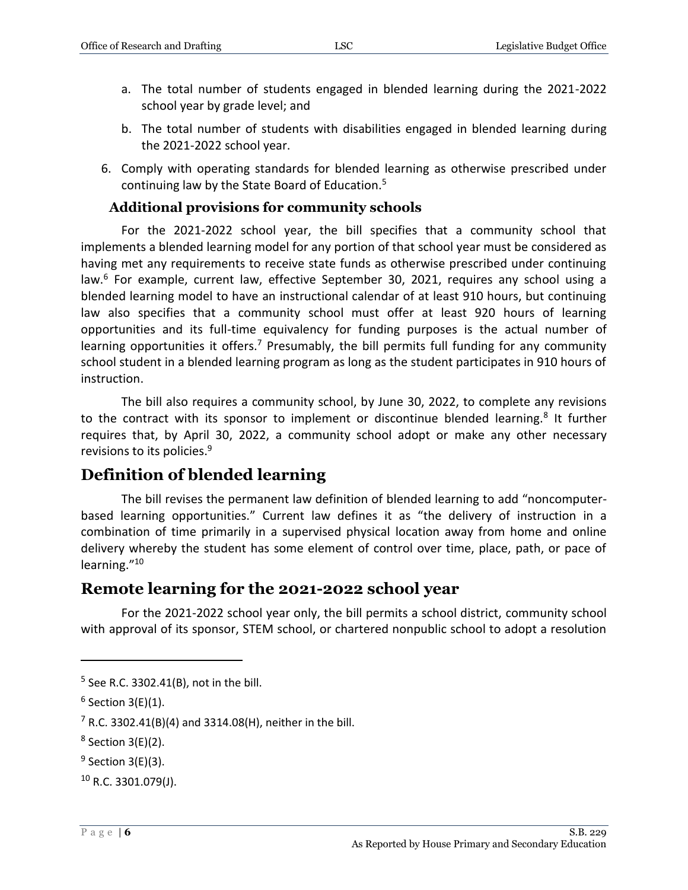- a. The total number of students engaged in blended learning during the 2021-2022 school year by grade level; and
- b. The total number of students with disabilities engaged in blended learning during the 2021-2022 school year.
- 6. Comply with operating standards for blended learning as otherwise prescribed under continuing law by the State Board of Education.<sup>5</sup>

#### **Additional provisions for community schools**

<span id="page-5-0"></span>For the 2021-2022 school year, the bill specifies that a community school that implements a blended learning model for any portion of that school year must be considered as having met any requirements to receive state funds as otherwise prescribed under continuing law.<sup>6</sup> For example, current law, effective September 30, 2021, requires any school using a blended learning model to have an instructional calendar of at least 910 hours, but continuing law also specifies that a community school must offer at least 920 hours of learning opportunities and its full-time equivalency for funding purposes is the actual number of learning opportunities it offers.<sup>7</sup> Presumably, the bill permits full funding for any community school student in a blended learning program as long as the student participates in 910 hours of instruction.

The bill also requires a community school, by June 30, 2022, to complete any revisions to the contract with its sponsor to implement or discontinue blended learning.<sup>8</sup> It further requires that, by April 30, 2022, a community school adopt or make any other necessary revisions to its policies.<sup>9</sup>

## <span id="page-5-1"></span>**Definition of blended learning**

The bill revises the permanent law definition of blended learning to add "noncomputerbased learning opportunities." Current law defines it as "the delivery of instruction in a combination of time primarily in a supervised physical location away from home and online delivery whereby the student has some element of control over time, place, path, or pace of learning."<sup>10</sup>

#### <span id="page-5-2"></span>**Remote learning for the 2021-2022 school year**

For the 2021-2022 school year only, the bill permits a school district, community school with approval of its sponsor, STEM school, or chartered nonpublic school to adopt a resolution

<sup>5</sup> See R.C. 3302.41(B), not in the bill.

 $6$  Section 3(E)(1).

 $7$  R.C. 3302.41(B)(4) and 3314.08(H), neither in the bill.

 $8$  Section 3(E)(2).

 $9$  Section 3(E)(3).

 $10$  R.C. 3301.079(J).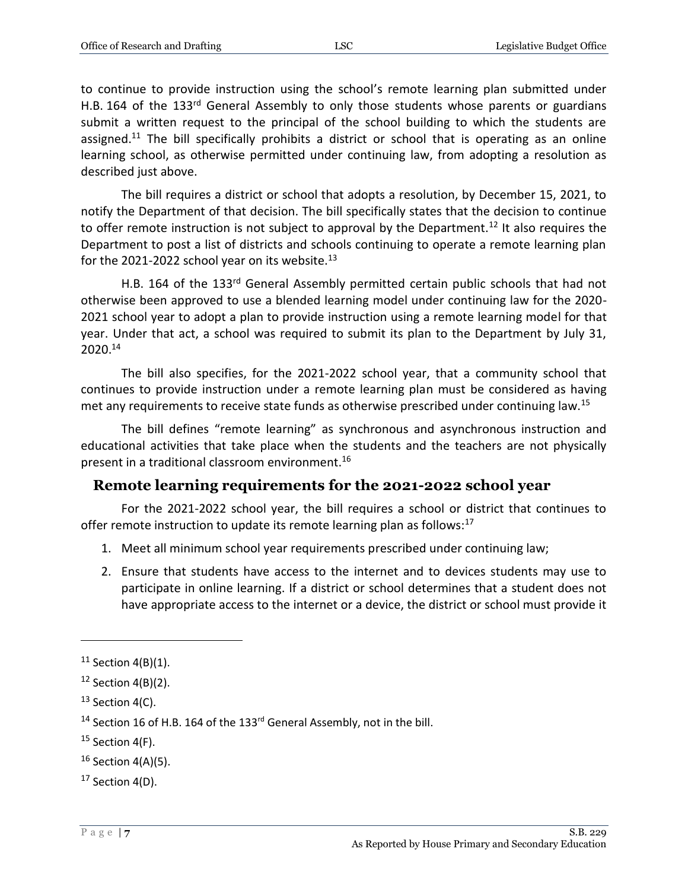to continue to provide instruction using the school's remote learning plan submitted under H.B. 164 of the 133<sup>rd</sup> General Assembly to only those students whose parents or guardians submit a written request to the principal of the school building to which the students are assigned.<sup>11</sup> The bill specifically prohibits a district or school that is operating as an online learning school, as otherwise permitted under continuing law, from adopting a resolution as described just above.

The bill requires a district or school that adopts a resolution, by December 15, 2021, to notify the Department of that decision. The bill specifically states that the decision to continue to offer remote instruction is not subject to approval by the Department.<sup>12</sup> It also requires the Department to post a list of districts and schools continuing to operate a remote learning plan for the 2021-2022 school year on its website. $^{13}$ 

H.B. 164 of the 133rd General Assembly permitted certain public schools that had not otherwise been approved to use a blended learning model under continuing law for the 2020- 2021 school year to adopt a plan to provide instruction using a remote learning model for that year. Under that act, a school was required to submit its plan to the Department by July 31, 2020.<sup>14</sup>

The bill also specifies, for the 2021-2022 school year, that a community school that continues to provide instruction under a remote learning plan must be considered as having met any requirements to receive state funds as otherwise prescribed under continuing law.<sup>15</sup>

The bill defines "remote learning" as synchronous and asynchronous instruction and educational activities that take place when the students and the teachers are not physically present in a traditional classroom environment.<sup>16</sup>

#### <span id="page-6-0"></span>**Remote learning requirements for the 2021-2022 school year**

For the 2021-2022 school year, the bill requires a school or district that continues to offer remote instruction to update its remote learning plan as follows: $17$ 

- 1. Meet all minimum school year requirements prescribed under continuing law;
- 2. Ensure that students have access to the internet and to devices students may use to participate in online learning. If a district or school determines that a student does not have appropriate access to the internet or a device, the district or school must provide it

 $11$  Section 4(B)(1).

 $12$  Section 4(B)(2).

 $13$  Section 4(C).

<sup>&</sup>lt;sup>14</sup> Section 16 of H.B. 164 of the 133<sup>rd</sup> General Assembly, not in the bill.

 $15$  Section 4(F).

 $16$  Section 4(A)(5).

 $17$  Section 4(D).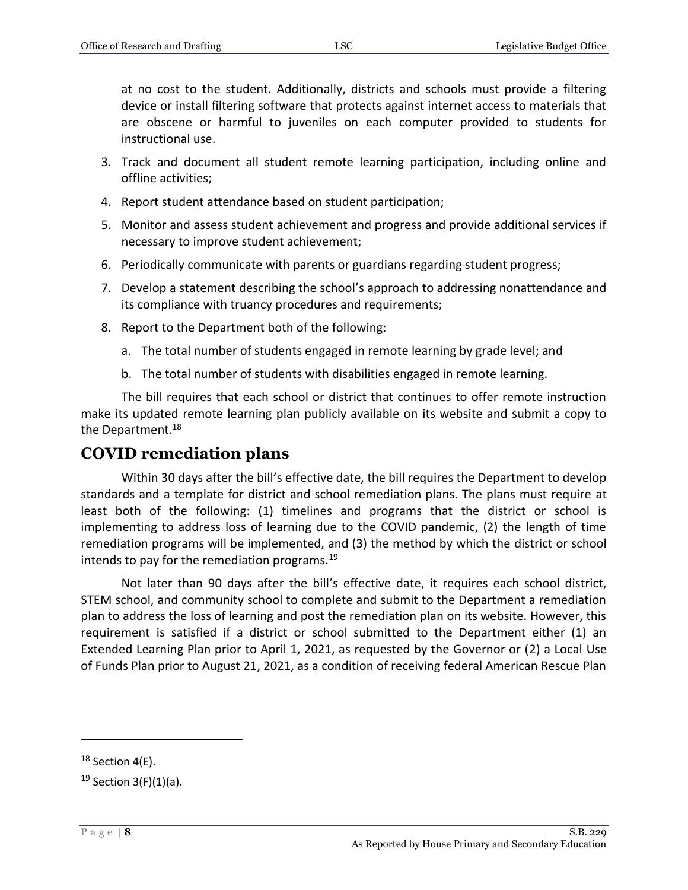at no cost to the student. Additionally, districts and schools must provide a filtering device or install filtering software that protects against internet access to materials that are obscene or harmful to juveniles on each computer provided to students for instructional use.

- 3. Track and document all student remote learning participation, including online and offline activities;
- 4. Report student attendance based on student participation;
- 5. Monitor and assess student achievement and progress and provide additional services if necessary to improve student achievement;
- 6. Periodically communicate with parents or guardians regarding student progress;
- 7. Develop a statement describing the school's approach to addressing nonattendance and its compliance with truancy procedures and requirements;
- 8. Report to the Department both of the following:
	- a. The total number of students engaged in remote learning by grade level; and
	- b. The total number of students with disabilities engaged in remote learning.

The bill requires that each school or district that continues to offer remote instruction make its updated remote learning plan publicly available on its website and submit a copy to the Department.<sup>18</sup>

## <span id="page-7-0"></span>**COVID remediation plans**

Within 30 days after the bill's effective date, the bill requires the Department to develop standards and a template for district and school remediation plans. The plans must require at least both of the following: (1) timelines and programs that the district or school is implementing to address loss of learning due to the COVID pandemic, (2) the length of time remediation programs will be implemented, and (3) the method by which the district or school intends to pay for the remediation programs.<sup>19</sup>

Not later than 90 days after the bill's effective date, it requires each school district, STEM school, and community school to complete and submit to the Department a remediation plan to address the loss of learning and post the remediation plan on its website. However, this requirement is satisfied if a district or school submitted to the Department either (1) an Extended Learning Plan prior to April 1, 2021, as requested by the Governor or (2) a Local Use of Funds Plan prior to August 21, 2021, as a condition of receiving federal American Rescue Plan

 $18$  Section 4(E).

 $19$  Section 3(F)(1)(a).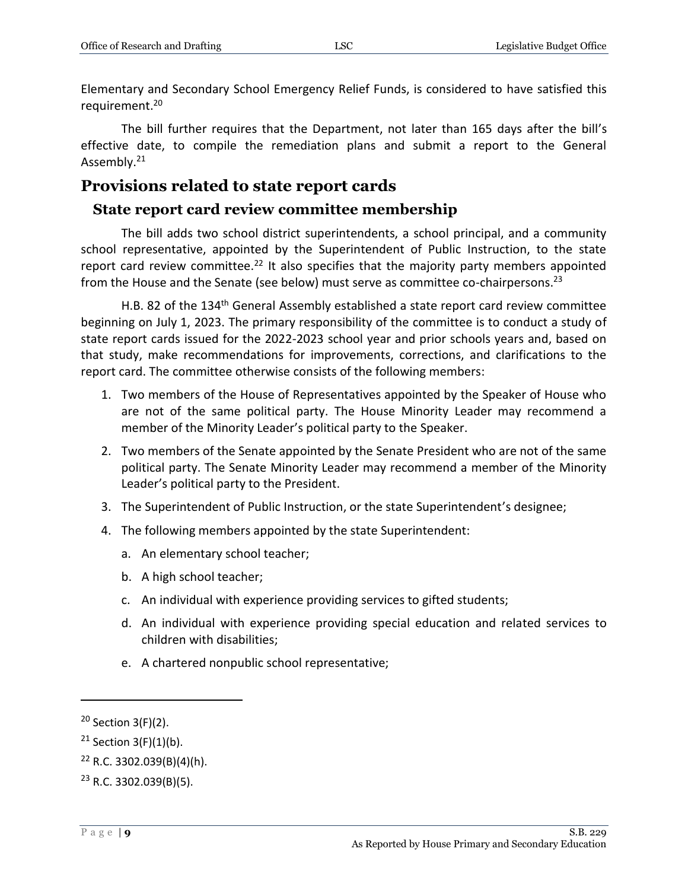Elementary and Secondary School Emergency Relief Funds, is considered to have satisfied this requirement. 20

The bill further requires that the Department, not later than 165 days after the bill's effective date, to compile the remediation plans and submit a report to the General Assembly.<sup>21</sup>

#### <span id="page-8-0"></span>**Provisions related to state report cards**

#### <span id="page-8-1"></span>**State report card review committee membership**

The bill adds two school district superintendents, a school principal, and a community school representative, appointed by the Superintendent of Public Instruction, to the state report card review committee.<sup>22</sup> It also specifies that the majority party members appointed from the House and the Senate (see below) must serve as committee co-chairpersons.<sup>23</sup>

H.B. 82 of the 134<sup>th</sup> General Assembly established a state report card review committee beginning on July 1, 2023. The primary responsibility of the committee is to conduct a study of state report cards issued for the 2022-2023 school year and prior schools years and, based on that study, make recommendations for improvements, corrections, and clarifications to the report card. The committee otherwise consists of the following members:

- 1. Two members of the House of Representatives appointed by the Speaker of House who are not of the same political party. The House Minority Leader may recommend a member of the Minority Leader's political party to the Speaker.
- 2. Two members of the Senate appointed by the Senate President who are not of the same political party. The Senate Minority Leader may recommend a member of the Minority Leader's political party to the President.
- 3. The Superintendent of Public Instruction, or the state Superintendent's designee;
- 4. The following members appointed by the state Superintendent:
	- a. An elementary school teacher;
	- b. A high school teacher;
	- c. An individual with experience providing services to gifted students;
	- d. An individual with experience providing special education and related services to children with disabilities;
	- e. A chartered nonpublic school representative;

 $20$  Section 3(F)(2).

<sup>&</sup>lt;sup>21</sup> Section 3(F)(1)(b).

 $22$  R.C. 3302.039(B)(4)(h).

 $23$  R.C. 3302.039(B)(5).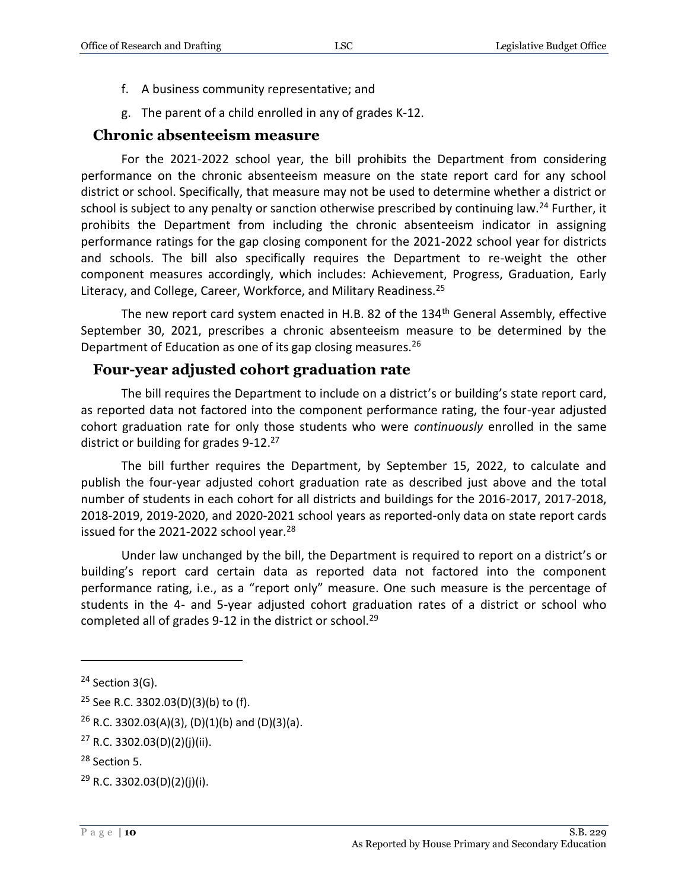- f. A business community representative; and
- g. The parent of a child enrolled in any of grades K-12.

#### <span id="page-9-0"></span>**Chronic absenteeism measure**

For the 2021-2022 school year, the bill prohibits the Department from considering performance on the chronic absenteeism measure on the state report card for any school district or school. Specifically, that measure may not be used to determine whether a district or school is subject to any penalty or sanction otherwise prescribed by continuing law.<sup>24</sup> Further, it prohibits the Department from including the chronic absenteeism indicator in assigning performance ratings for the gap closing component for the 2021-2022 school year for districts and schools. The bill also specifically requires the Department to re-weight the other component measures accordingly, which includes: Achievement, Progress, Graduation, Early Literacy, and College, Career, Workforce, and Military Readiness.<sup>25</sup>

The new report card system enacted in H.B. 82 of the  $134<sup>th</sup>$  General Assembly, effective September 30, 2021, prescribes a chronic absenteeism measure to be determined by the Department of Education as one of its gap closing measures.<sup>26</sup>

#### <span id="page-9-1"></span>**Four-year adjusted cohort graduation rate**

The bill requires the Department to include on a district's or building's state report card, as reported data not factored into the component performance rating, the four-year adjusted cohort graduation rate for only those students who were *continuously* enrolled in the same district or building for grades 9-12.<sup>27</sup>

The bill further requires the Department, by September 15, 2022, to calculate and publish the four-year adjusted cohort graduation rate as described just above and the total number of students in each cohort for all districts and buildings for the 2016-2017, 2017-2018, 2018-2019, 2019-2020, and 2020-2021 school years as reported-only data on state report cards issued for the 2021-2022 school year.<sup>28</sup>

Under law unchanged by the bill, the Department is required to report on a district's or building's report card certain data as reported data not factored into the component performance rating, i.e., as a "report only" measure. One such measure is the percentage of students in the 4- and 5-year adjusted cohort graduation rates of a district or school who completed all of grades 9-12 in the district or school.<sup>29</sup>

 $24$  Section 3(G).

<sup>25</sup> See R.C. 3302.03(D)(3)(b) to (f).

 $26$  R.C. 3302.03(A)(3), (D)(1)(b) and (D)(3)(a).

 $27$  R.C. 3302.03(D)(2)(j)(ii).

<sup>28</sup> Section 5.

 $29$  R.C. 3302.03(D)(2)(j)(i).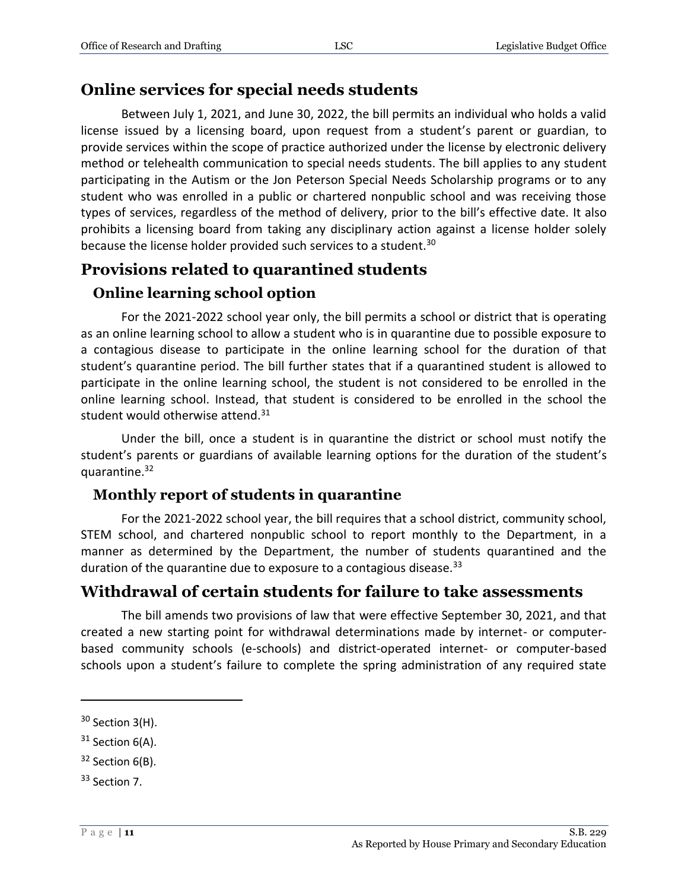#### <span id="page-10-0"></span>**Online services for special needs students**

Between July 1, 2021, and June 30, 2022, the bill permits an individual who holds a valid license issued by a licensing board, upon request from a student's parent or guardian, to provide services within the scope of practice authorized under the license by electronic delivery method or telehealth communication to special needs students. The bill applies to any student participating in the Autism or the Jon Peterson Special Needs Scholarship programs or to any student who was enrolled in a public or chartered nonpublic school and was receiving those types of services, regardless of the method of delivery, prior to the bill's effective date. It also prohibits a licensing board from taking any disciplinary action against a license holder solely because the license holder provided such services to a student.<sup>30</sup>

## <span id="page-10-1"></span>**Provisions related to quarantined students**

## <span id="page-10-2"></span>**Online learning school option**

For the 2021-2022 school year only, the bill permits a school or district that is operating as an online learning school to allow a student who is in quarantine due to possible exposure to a contagious disease to participate in the online learning school for the duration of that student's quarantine period. The bill further states that if a quarantined student is allowed to participate in the online learning school, the student is not considered to be enrolled in the online learning school. Instead, that student is considered to be enrolled in the school the student would otherwise attend. $31$ 

Under the bill, once a student is in quarantine the district or school must notify the student's parents or guardians of available learning options for the duration of the student's quarantine.<sup>32</sup>

#### <span id="page-10-3"></span>**Monthly report of students in quarantine**

For the 2021-2022 school year, the bill requires that a school district, community school, STEM school, and chartered nonpublic school to report monthly to the Department, in a manner as determined by the Department, the number of students quarantined and the duration of the quarantine due to exposure to a contagious disease. $33$ 

## <span id="page-10-4"></span>**Withdrawal of certain students for failure to take assessments**

The bill amends two provisions of law that were effective September 30, 2021, and that created a new starting point for withdrawal determinations made by internet- or computerbased community schools (e-schools) and district-operated internet- or computer-based schools upon a student's failure to complete the spring administration of any required state

<sup>&</sup>lt;sup>30</sup> Section 3(H).

 $31$  Section 6(A).

<sup>&</sup>lt;sup>32</sup> Section 6(B).

<sup>33</sup> Section 7.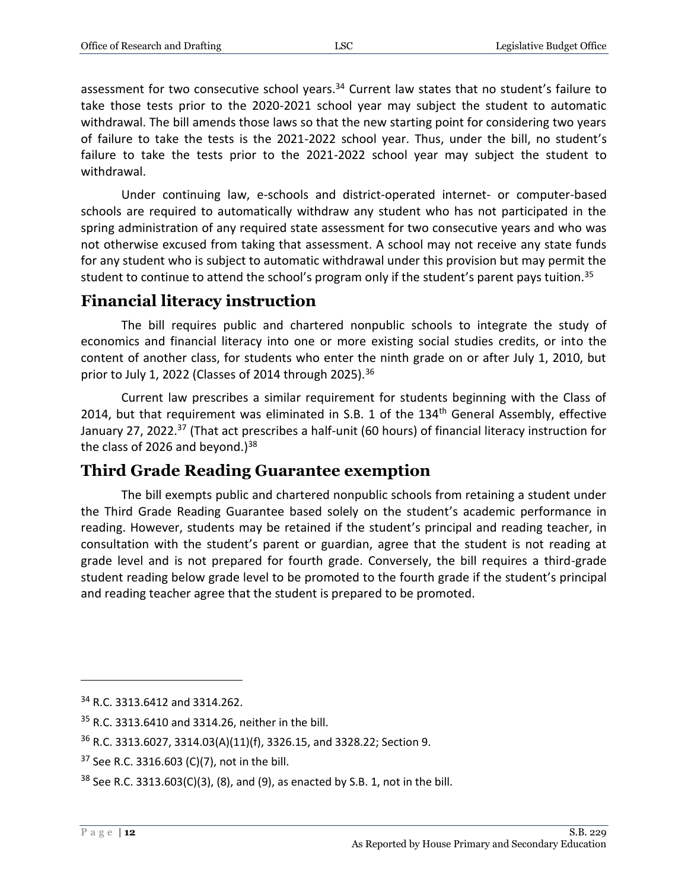assessment for two consecutive school years.<sup>34</sup> Current law states that no student's failure to take those tests prior to the 2020-2021 school year may subject the student to automatic withdrawal. The bill amends those laws so that the new starting point for considering two years of failure to take the tests is the 2021-2022 school year. Thus, under the bill, no student's failure to take the tests prior to the 2021-2022 school year may subject the student to withdrawal.

Under continuing law, e-schools and district-operated internet- or computer-based schools are required to automatically withdraw any student who has not participated in the spring administration of any required state assessment for two consecutive years and who was not otherwise excused from taking that assessment. A school may not receive any state funds for any student who is subject to automatic withdrawal under this provision but may permit the student to continue to attend the school's program only if the student's parent pays tuition.<sup>35</sup>

## <span id="page-11-0"></span>**Financial literacy instruction**

The bill requires public and chartered nonpublic schools to integrate the study of economics and financial literacy into one or more existing social studies credits, or into the content of another class, for students who enter the ninth grade on or after July 1, 2010, but prior to July 1, 2022 (Classes of 2014 through 2025).  $36$ 

Current law prescribes a similar requirement for students beginning with the Class of 2014, but that requirement was eliminated in S.B. 1 of the 134<sup>th</sup> General Assembly, effective January 27, 2022.<sup>37</sup> (That act prescribes a half-unit (60 hours) of financial literacy instruction for the class of 2026 and beyond.) $38$ 

## <span id="page-11-1"></span>**Third Grade Reading Guarantee exemption**

The bill exempts public and chartered nonpublic schools from retaining a student under the Third Grade Reading Guarantee based solely on the student's academic performance in reading. However, students may be retained if the student's principal and reading teacher, in consultation with the student's parent or guardian, agree that the student is not reading at grade level and is not prepared for fourth grade. Conversely, the bill requires a third-grade student reading below grade level to be promoted to the fourth grade if the student's principal and reading teacher agree that the student is prepared to be promoted.

<sup>&</sup>lt;sup>34</sup> R.C. 3313.6412 and 3314.262.

<sup>35</sup> R.C. 3313.6410 and 3314.26, neither in the bill.

<sup>36</sup> R.C. 3313.6027, 3314.03(A)(11)(f), 3326.15, and 3328.22; Section 9.

 $37$  See R.C. 3316.603 (C)(7), not in the bill.

 $38$  See R.C. 3313.603(C)(3), (8), and (9), as enacted by S.B. 1, not in the bill.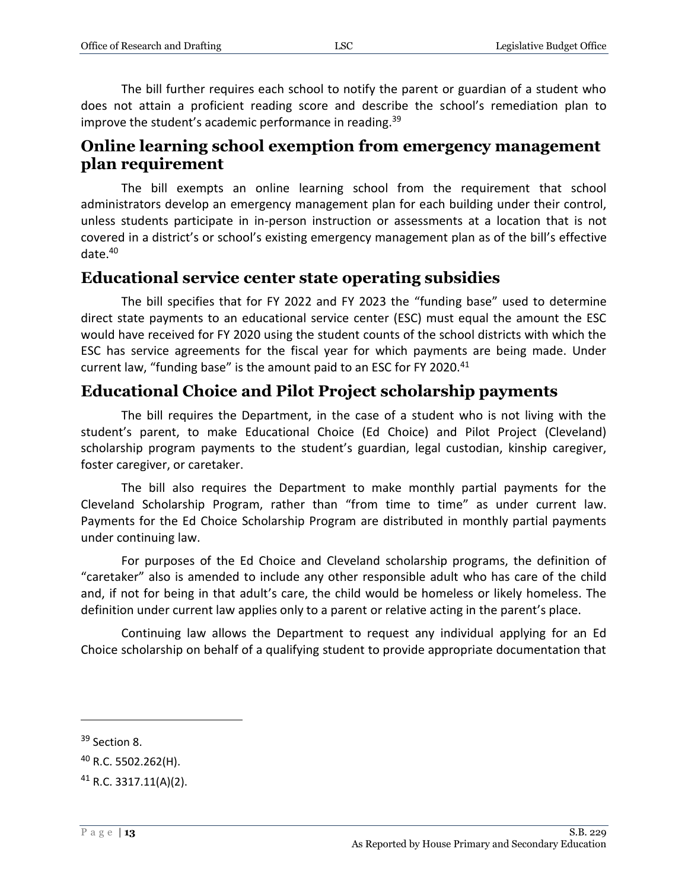The bill further requires each school to notify the parent or guardian of a student who does not attain a proficient reading score and describe the school's remediation plan to improve the student's academic performance in reading.<sup>39</sup>

#### <span id="page-12-0"></span>**Online learning school exemption from emergency management plan requirement**

The bill exempts an online learning school from the requirement that school administrators develop an emergency management plan for each building under their control, unless students participate in in-person instruction or assessments at a location that is not covered in a district's or school's existing emergency management plan as of the bill's effective date.<sup>40</sup>

#### <span id="page-12-1"></span>**Educational service center state operating subsidies**

The bill specifies that for FY 2022 and FY 2023 the "funding base" used to determine direct state payments to an educational service center (ESC) must equal the amount the ESC would have received for FY 2020 using the student counts of the school districts with which the ESC has service agreements for the fiscal year for which payments are being made. Under current law, "funding base" is the amount paid to an ESC for FY 2020.<sup>41</sup>

## <span id="page-12-2"></span>**Educational Choice and Pilot Project scholarship payments**

The bill requires the Department, in the case of a student who is not living with the student's parent, to make Educational Choice (Ed Choice) and Pilot Project (Cleveland) scholarship program payments to the student's guardian, legal custodian, kinship caregiver, foster caregiver, or caretaker.

The bill also requires the Department to make monthly partial payments for the Cleveland Scholarship Program, rather than "from time to time" as under current law. Payments for the Ed Choice Scholarship Program are distributed in monthly partial payments under continuing law.

For purposes of the Ed Choice and Cleveland scholarship programs, the definition of "caretaker" also is amended to include any other responsible adult who has care of the child and, if not for being in that adult's care, the child would be homeless or likely homeless. The definition under current law applies only to a parent or relative acting in the parent's place.

Continuing law allows the Department to request any individual applying for an Ed Choice scholarship on behalf of a qualifying student to provide appropriate documentation that

<sup>&</sup>lt;sup>39</sup> Section 8.

<sup>40</sup> R.C. 5502.262(H).

<sup>41</sup> R.C. 3317.11(A)(2).